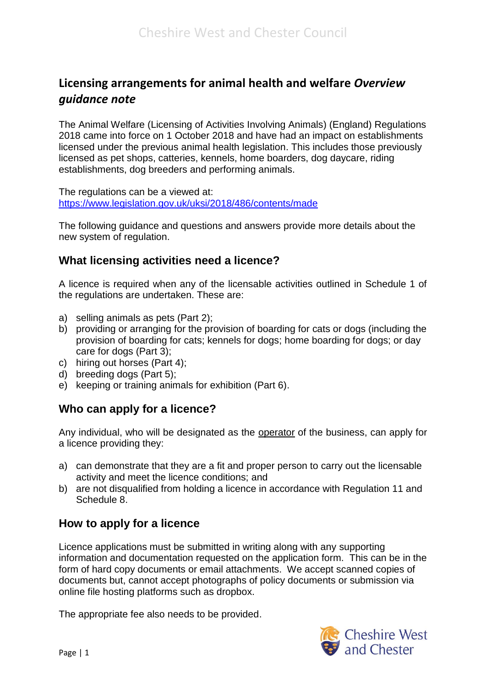# **Licensing arrangements for animal health and welfare** *Overview guidance note*

The Animal Welfare (Licensing of Activities Involving Animals) (England) Regulations 2018 came into force on 1 October 2018 and have had an impact on establishments licensed under the previous animal health legislation. This includes those previously licensed as pet shops, catteries, kennels, home boarders, dog daycare, riding establishments, dog breeders and performing animals.

The regulations can be a viewed at: <https://www.legislation.gov.uk/uksi/2018/486/contents/made>

The following guidance and questions and answers provide more details about the new system of regulation.

#### **What licensing activities need a licence?**

A licence is required when any of the licensable activities outlined in Schedule 1 of the regulations are undertaken. These are:

- a) selling animals as pets (Part 2);
- b) providing or arranging for the provision of boarding for cats or dogs (including the provision of boarding for cats; kennels for dogs; home boarding for dogs; or day care for dogs (Part 3);
- c) hiring out horses (Part 4);
- d) breeding dogs (Part 5);
- e) keeping or training animals for exhibition (Part 6).

# **Who can apply for a licence?**

Any individual, who will be designated as the operator of the business, can apply for a licence providing they:

- a) can demonstrate that they are a fit and proper person to carry out the licensable activity and meet the licence conditions; and
- b) are not disqualified from holding a licence in accordance with Regulation 11 and Schedule 8.

# **How to apply for a licence**

Licence applications must be submitted in writing along with any supporting information and documentation requested on the application form. This can be in the form of hard copy documents or email attachments. We accept scanned copies of documents but, cannot accept photographs of policy documents or submission via online file hosting platforms such as dropbox.

The appropriate fee also needs to be provided.

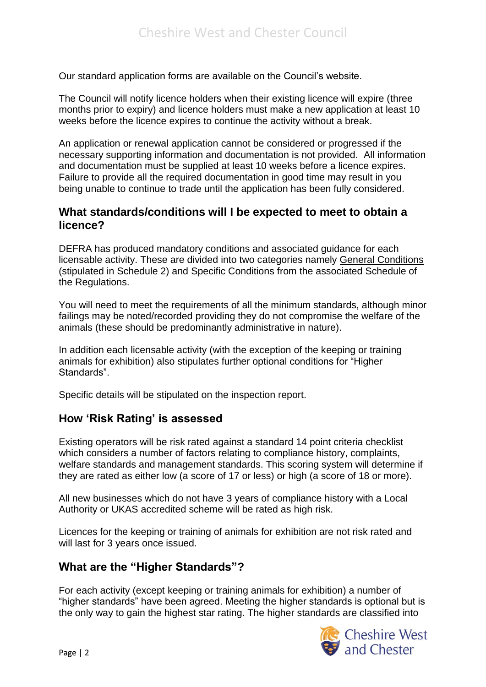Our standard application forms are available on the Council's website.

The Council will notify licence holders when their existing licence will expire (three months prior to expiry) and licence holders must make a new application at least 10 weeks before the licence expires to continue the activity without a break.

An application or renewal application cannot be considered or progressed if the necessary supporting information and documentation is not provided. All information and documentation must be supplied at least 10 weeks before a licence expires. Failure to provide all the required documentation in good time may result in you being unable to continue to trade until the application has been fully considered.

#### **What standards/conditions will I be expected to meet to obtain a licence?**

DEFRA has produced mandatory conditions and associated guidance for each licensable activity. These are divided into two categories namely General Conditions (stipulated in Schedule 2) and Specific Conditions from the associated Schedule of the Regulations.

You will need to meet the requirements of all the minimum standards, although minor failings may be noted/recorded providing they do not compromise the welfare of the animals (these should be predominantly administrative in nature).

In addition each licensable activity (with the exception of the keeping or training animals for exhibition) also stipulates further optional conditions for "Higher Standards".

Specific details will be stipulated on the inspection report.

#### **How 'Risk Rating' is assessed**

Existing operators will be risk rated against a standard 14 point criteria checklist which considers a number of factors relating to compliance history, complaints, welfare standards and management standards. This scoring system will determine if they are rated as either low (a score of 17 or less) or high (a score of 18 or more).

All new businesses which do not have 3 years of compliance history with a Local Authority or UKAS accredited scheme will be rated as high risk.

Licences for the keeping or training of animals for exhibition are not risk rated and will last for 3 years once issued.

#### **What are the "Higher Standards"?**

For each activity (except keeping or training animals for exhibition) a number of "higher standards" have been agreed. Meeting the higher standards is optional but is the only way to gain the highest star rating. The higher standards are classified into

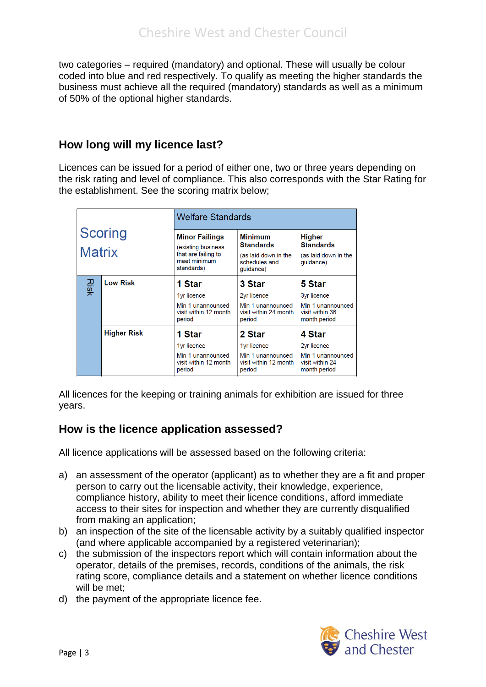two categories – required (mandatory) and optional. These will usually be colour coded into blue and red respectively. To qualify as meeting the higher standards the business must achieve all the required (mandatory) standards as well as a minimum of 50% of the optional higher standards.

#### **How long will my licence last?**

Licences can be issued for a period of either one, two or three years depending on the risk rating and level of compliance. This also corresponds with the Star Rating for the establishment. See the scoring matrix below;

| <b>Scoring</b><br><b>Matrix</b> |                    | <b>Welfare Standards</b>                                                                         |                                                                                          |                                                                               |
|---------------------------------|--------------------|--------------------------------------------------------------------------------------------------|------------------------------------------------------------------------------------------|-------------------------------------------------------------------------------|
|                                 |                    | <b>Minor Failings</b><br>(existing business<br>that are failing to<br>meet minimum<br>standards) | <b>Minimum</b><br><b>Standards</b><br>(as laid down in the<br>schedules and<br>quidance) | <b>Higher</b><br><b>Standards</b><br>(as laid down in the<br>quidance)        |
| Risk                            | <b>Low Risk</b>    | 1 Star<br>1yr licence<br>Min 1 unannounced<br>visit within 12 month<br>period                    | <b>3 Star</b><br>2yr licence<br>Min 1 unannounced<br>visit within 24 month<br>period     | 5 Star<br>3yr licence<br>Min 1 unannounced<br>visit within 36<br>month period |
|                                 | <b>Higher Risk</b> | 1 Star<br>1yr licence<br>Min 1 unannounced<br>visit within 12 month<br>period                    | 2 Star<br>1yr licence<br>Min 1 unannounced<br>visit within 12 month<br>period            | 4 Star<br>2yr licence<br>Min 1 unannounced<br>visit within 24<br>month period |

All licences for the keeping or training animals for exhibition are issued for three years.

# **How is the licence application assessed?**

All licence applications will be assessed based on the following criteria:

- a) an assessment of the operator (applicant) as to whether they are a fit and proper person to carry out the licensable activity, their knowledge, experience, compliance history, ability to meet their licence conditions, afford immediate access to their sites for inspection and whether they are currently disqualified from making an application;
- b) an inspection of the site of the licensable activity by a suitably qualified inspector (and where applicable accompanied by a registered veterinarian);
- c) the submission of the inspectors report which will contain information about the operator, details of the premises, records, conditions of the animals, the risk rating score, compliance details and a statement on whether licence conditions will be met;
- d) the payment of the appropriate licence fee.

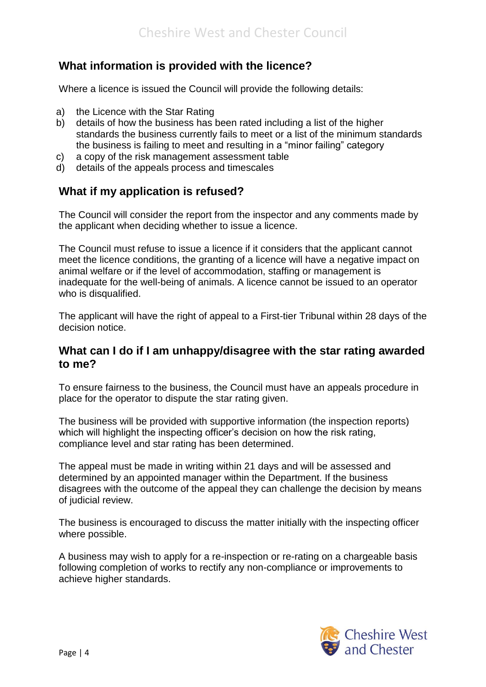# **What information is provided with the licence?**

Where a licence is issued the Council will provide the following details:

- a) the Licence with the Star Rating
- b) details of how the business has been rated including a list of the higher standards the business currently fails to meet or a list of the minimum standards the business is failing to meet and resulting in a "minor failing" category
- c) a copy of the risk management assessment table
- d) details of the appeals process and timescales

# **What if my application is refused?**

The Council will consider the report from the inspector and any comments made by the applicant when deciding whether to issue a licence.

The Council must refuse to issue a licence if it considers that the applicant cannot meet the licence conditions, the granting of a licence will have a negative impact on animal welfare or if the level of accommodation, staffing or management is inadequate for the well-being of animals. A licence cannot be issued to an operator who is disqualified.

The applicant will have the right of appeal to a First-tier Tribunal within 28 days of the decision notice.

#### **What can I do if I am unhappy/disagree with the star rating awarded to me?**

To ensure fairness to the business, the Council must have an appeals procedure in place for the operator to dispute the star rating given.

The business will be provided with supportive information (the inspection reports) which will highlight the inspecting officer's decision on how the risk rating, compliance level and star rating has been determined.

The appeal must be made in writing within 21 days and will be assessed and determined by an appointed manager within the Department. If the business disagrees with the outcome of the appeal they can challenge the decision by means of judicial review.

The business is encouraged to discuss the matter initially with the inspecting officer where possible.

A business may wish to apply for a re-inspection or re-rating on a chargeable basis following completion of works to rectify any non-compliance or improvements to achieve higher standards.

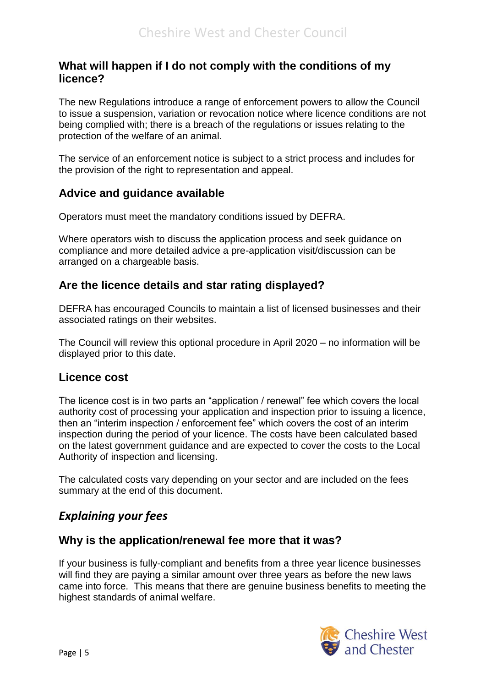#### **What will happen if I do not comply with the conditions of my licence?**

The new Regulations introduce a range of enforcement powers to allow the Council to issue a suspension, variation or revocation notice where licence conditions are not being complied with; there is a breach of the regulations or issues relating to the protection of the welfare of an animal.

The service of an enforcement notice is subject to a strict process and includes for the provision of the right to representation and appeal.

# **Advice and guidance available**

Operators must meet the mandatory conditions issued by DEFRA.

Where operators wish to discuss the application process and seek guidance on compliance and more detailed advice a pre-application visit/discussion can be arranged on a chargeable basis.

# **Are the licence details and star rating displayed?**

DEFRA has encouraged Councils to maintain a list of licensed businesses and their associated ratings on their websites.

The Council will review this optional procedure in April 2020 – no information will be displayed prior to this date.

#### **Licence cost**

The licence cost is in two parts an "application / renewal" fee which covers the local authority cost of processing your application and inspection prior to issuing a licence, then an "interim inspection / enforcement fee" which covers the cost of an interim inspection during the period of your licence. The costs have been calculated based on the latest government guidance and are expected to cover the costs to the Local Authority of inspection and licensing.

The calculated costs vary depending on your sector and are included on the fees summary at the end of this document.

# *Explaining your fees*

# **Why is the application/renewal fee more that it was?**

If your business is fully-compliant and benefits from a three year licence businesses will find they are paying a similar amount over three years as before the new laws came into force. This means that there are genuine business benefits to meeting the highest standards of animal welfare.

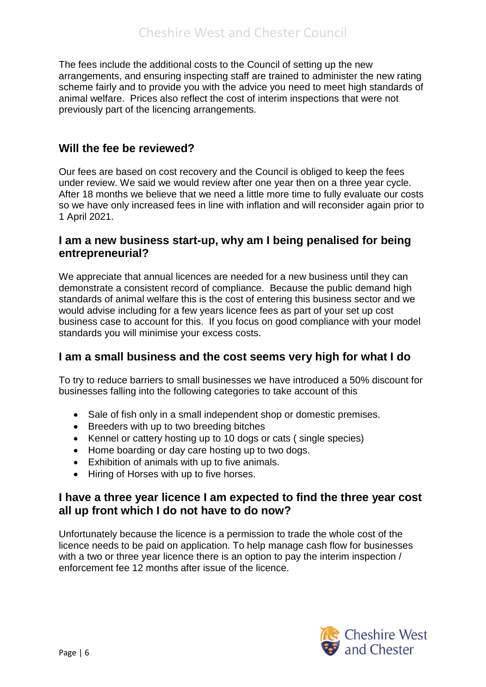The fees include the additional costs to the Council of setting up the new arrangements, and ensuring inspecting staff are trained to administer the new rating scheme fairly and to provide you with the advice you need to meet high standards of animal welfare. Prices also reflect the cost of interim inspections that were not previously part of the licencing arrangements.

#### **Will the fee be reviewed?**

Our fees are based on cost recovery and the Council is obliged to keep the fees under review. We said we would review after one year then on a three year cycle. After 18 months we believe that we need a little more time to fully evaluate our costs so we have only increased fees in line with inflation and will reconsider again prior to 1 April 2021.

#### **I am a new business start-up, why am I being penalised for being entrepreneurial?**

We appreciate that annual licences are needed for a new business until they can demonstrate a consistent record of compliance. Because the public demand high standards of animal welfare this is the cost of entering this business sector and we would advise including for a few years licence fees as part of your set up cost business case to account for this. If you focus on good compliance with your model standards you will minimise your excess costs.

# **I am a small business and the cost seems very high for what I do**

To try to reduce barriers to small businesses we have introduced a 50% discount for businesses falling into the following categories to take account of this

- Sale of fish only in a small independent shop or domestic premises.
- Breeders with up to two breeding bitches
- Kennel or cattery hosting up to 10 dogs or cats (single species)
- Home boarding or day care hosting up to two dogs.
- Exhibition of animals with up to five animals.
- Hiring of Horses with up to five horses.

#### **I have a three year licence I am expected to find the three year cost all up front which I do not have to do now?**

Unfortunately because the licence is a permission to trade the whole cost of the licence needs to be paid on application. To help manage cash flow for businesses with a two or three year licence there is an option to pay the interim inspection / enforcement fee 12 months after issue of the licence.